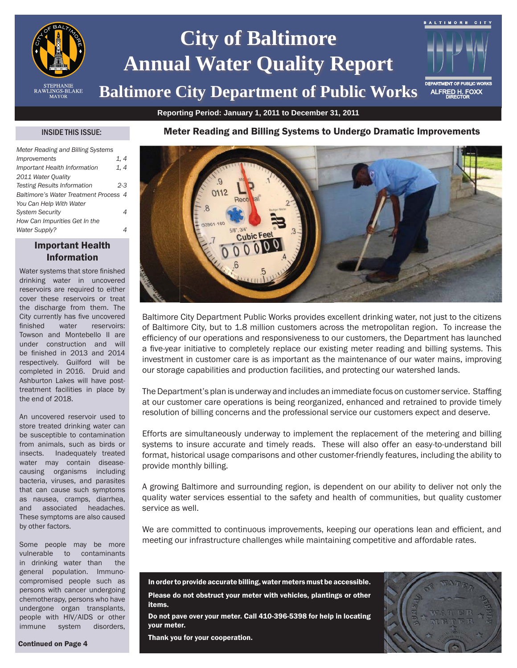

# **City of Baltimore Annual Water Quality Report**

## **Baltimore City Department of Public Works**

**Reporting Period: January 1, 2011 to December 31, 2011**

#### INSIDE THIS ISSUE:

| Meter Reading and Billing Systems     |       |
|---------------------------------------|-------|
| <i>Improvements</i>                   | 1, 4  |
| Important Health Information          | 1.4   |
| 2011 Water Quality                    |       |
| <b>Testing Results Information</b>    | $2-3$ |
| Baltimore's Water Treatment Process 4 |       |
| You Can Help With Water               |       |
| <b>System Security</b>                |       |
| How Can Impurities Get In the         |       |
| <b>Water Supply?</b>                  |       |

#### Important Health Information

Water systems that store finished drinking water in uncovered reservoirs are required to either cover these reservoirs or treat the discharge from them. The City currently has five uncovered finished water reservoirs: Towson and Montebello II are under construction and will be finished in 2013 and 2014 respectively. Guilford will be completed in 2016. Druid and Ashburton Lakes will have posttreatment facilities in place by the end of 2018.

An uncovered reservoir used to store treated drinking water can be susceptible to contamination from animals, such as birds or insects. Inadequately treated water may contain diseasecausing organisms including bacteria, viruses, and parasites that can cause such symptoms as nausea, cramps, diarrhea, and associated headaches. These symptoms are also caused by other factors.

Some people may be more vulnerable to contaminants in drinking water than the general population. Immunocompromised people such as persons with cancer undergoing chemotherapy, persons who have undergone organ transplants, people with HIV/AIDS or other immune system disorders,





Baltimore City Department Public Works provides excellent drinking water, not just to the citizens of Baltimore City, but to 1.8 million customers across the metropolitan region. To increase the efficiency of our operations and responsiveness to our customers, the Department has launched a five-year initiative to completely replace our existing meter reading and billing systems. This investment in customer care is as important as the maintenance of our water mains, improving our storage capabilities and production facilities, and protecting our watershed lands.

The Department's plan is underway and includes an immediate focus on customer service. Staffing at our customer care operations is being reorganized, enhanced and retrained to provide timely resolution of billing concerns and the professional service our customers expect and deserve.

Efforts are simultaneously underway to implement the replacement of the metering and billing systems to insure accurate and timely reads. These will also offer an easy-to-understand bill format, historical usage comparisons and other customer-friendly features, including the ability to provide monthly billing.

A growing Baltimore and surrounding region, is dependent on our ability to deliver not only the quality water services essential to the safety and health of communities, but quality customer service as well.

We are committed to continuous improvements, keeping our operations lean and efficient, and meeting our infrastructure challenges while maintaining competitive and affordable rates.

In order to provide accurate billing, water meters must be accessible. Please do not obstruct your meter with vehicles, plantings or other items.

Do not pave over your meter. Call 410-396-5398 for help in locating your meter.

Thank you for your cooperation.



ALFRED H. FOXX

BALTIMORE CITY

Continued on Page 4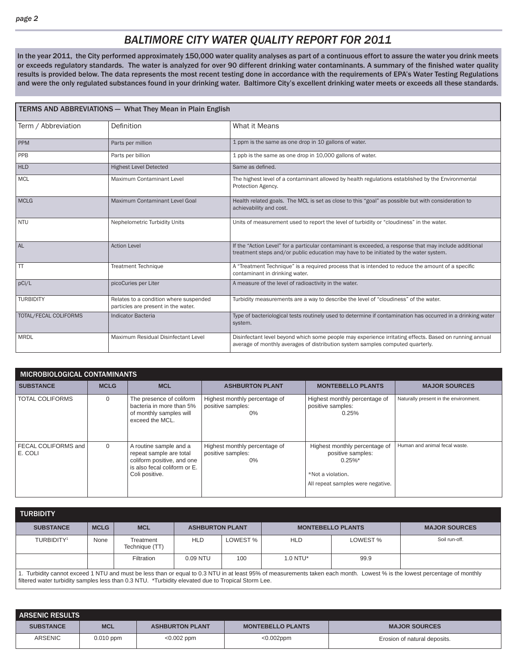### *BALTIMORE CITY WATER QUALITY REPORT FOR 2011*

In the year 2011, the City performed approximately 150,000 water quality analyses as part of a continuous effort to assure the water you drink meets or exceeds regulatory standards. The water is analyzed for over 90 different drinking water contaminants. A summary of the finished water quality results is provided below. The data represents the most recent testing done in accordance with the requirements of EPA's Water Testing Regulations and were the only regulated substances found in your drinking water. Baltimore City's excellent drinking water meets or exceeds all these standards.

| <b>TERMS AND ABBREVIATIONS - What They Mean in Plain English</b> |                                                                               |                                                                                                                                                                                                 |  |  |  |  |  |
|------------------------------------------------------------------|-------------------------------------------------------------------------------|-------------------------------------------------------------------------------------------------------------------------------------------------------------------------------------------------|--|--|--|--|--|
| Term / Abbreviation                                              | Definition                                                                    | What it Means                                                                                                                                                                                   |  |  |  |  |  |
| <b>PPM</b>                                                       | Parts per million                                                             | 1 ppm is the same as one drop in 10 gallons of water.                                                                                                                                           |  |  |  |  |  |
| PPB                                                              | Parts per billion                                                             | 1 ppb is the same as one drop in 10,000 gallons of water.                                                                                                                                       |  |  |  |  |  |
| <b>HLD</b>                                                       | <b>Highest Level Detected</b>                                                 | Same as defined.                                                                                                                                                                                |  |  |  |  |  |
| <b>MCL</b>                                                       | Maximum Contaminant Level                                                     | The highest level of a contaminant allowed by health regulations established by the Environmental<br>Protection Agency.                                                                         |  |  |  |  |  |
| <b>MCLG</b>                                                      | Maximum Contaminant Level Goal                                                | Health related goals. The MCL is set as close to this "goal" as possible but with consideration to<br>achievability and cost.                                                                   |  |  |  |  |  |
| <b>NTU</b>                                                       | Nephelometric Turbidity Units                                                 | Units of measurement used to report the level of turbidity or "cloudiness" in the water.                                                                                                        |  |  |  |  |  |
| <b>AL</b>                                                        | <b>Action Level</b>                                                           | If the "Action Level" for a particular contaminant is exceeded, a response that may include additional<br>treatment steps and/or public education may have to be initiated by the water system. |  |  |  |  |  |
| TT                                                               | <b>Treatment Technique</b>                                                    | A "Treatment Technique" is a required process that is intended to reduce the amount of a specific<br>contaminant in drinking water.                                                             |  |  |  |  |  |
| pCi/L                                                            | picoCuries per Liter                                                          | A measure of the level of radioactivity in the water.                                                                                                                                           |  |  |  |  |  |
| <b>TURBIDITY</b>                                                 | Relates to a condition where suspended<br>particles are present in the water. | Turbidity measurements are a way to describe the level of "cloudiness" of the water.                                                                                                            |  |  |  |  |  |
| TOTAL/FECAL COLIFORMS                                            | <b>Indicator Bacteria</b>                                                     | Type of bacteriological tests routinely used to determine if contamination has occurred in a drinking water<br>system.                                                                          |  |  |  |  |  |
| <b>MRDL</b>                                                      | Maximum Residual Disinfectant Level                                           | Disinfectant level beyond which some people may experience irritating effects. Based on running annual<br>average of monthly averages of distribution system samples computed quarterly.        |  |  |  |  |  |

| MICROBIOLOGICAL CONTAMINANTS   |             |                                                                                                                                   |                                                             |                                                                                                                            |                                       |  |  |  |  |  |
|--------------------------------|-------------|-----------------------------------------------------------------------------------------------------------------------------------|-------------------------------------------------------------|----------------------------------------------------------------------------------------------------------------------------|---------------------------------------|--|--|--|--|--|
| <b>SUBSTANCE</b>               | <b>MCLG</b> | <b>MCL</b>                                                                                                                        | <b>ASHBURTON PLANT</b>                                      | <b>MONTEBELLO PLANTS</b>                                                                                                   | <b>MAJOR SOURCES</b>                  |  |  |  |  |  |
| <b>TOTAL COLIFORMS</b>         | $\Omega$    | The presence of coliform<br>bacteria in more than 5%<br>of monthly samples will<br>exceed the MCL.                                | Highest monthly percentage of<br>positive samples:<br>$0\%$ | Highest monthly percentage of<br>positive samples:<br>0.25%                                                                | Naturally present in the environment. |  |  |  |  |  |
| FECAL COLIFORMS and<br>E. COLI | 0           | A routine sample and a<br>repeat sample are total<br>coliform positive, and one<br>is also fecal coliform or E.<br>Coli positive. | Highest monthly percentage of<br>positive samples:<br>0%    | Highest monthly percentage of<br>positive samples:<br>$0.25\%$ *<br>*Not a violation.<br>All repeat samples were negative. | Human and animal fecal waste.         |  |  |  |  |  |

| <b>TURBIDITY</b>                                                                                                                                                                                                                                                                |             |                             |                        |          |                          |          |                      |  |
|---------------------------------------------------------------------------------------------------------------------------------------------------------------------------------------------------------------------------------------------------------------------------------|-------------|-----------------------------|------------------------|----------|--------------------------|----------|----------------------|--|
| <b>SUBSTANCE</b>                                                                                                                                                                                                                                                                | <b>MCLG</b> | <b>MCL</b>                  | <b>ASHBURTON PLANT</b> |          | <b>MONTEBELLO PLANTS</b> |          | <b>MAJOR SOURCES</b> |  |
| TURBIDITY <sup>1</sup>                                                                                                                                                                                                                                                          | None        | Treatment<br>Technique (TT) | <b>HLD</b>             | LOWEST % | <b>HLD</b>               | LOWEST % | Soil run-off.        |  |
|                                                                                                                                                                                                                                                                                 |             | <b>Filtration</b>           | $0.09$ NTU             | 100      | $1.0$ NTU*               | 99.9     |                      |  |
| 1. Turbidity cannot exceed 1 NTU and must be less than or equal to 0.3 NTU in at least 95% of measurements taken each month. Lowest % is the lowest percentage of monthly<br>filtered water turbidity samples less than 0.3 NTU. *Turbidity elevated due to Tropical Storm Lee. |             |                             |                        |          |                          |          |                      |  |

| <b>ARSENIC RESULTS</b> |             |                        |                          |                              |  |  |  |  |  |  |
|------------------------|-------------|------------------------|--------------------------|------------------------------|--|--|--|--|--|--|
| <b>SUBSTANCE</b>       | <b>MCL</b>  | <b>ASHBURTON PLANT</b> | <b>MONTEBELLO PLANTS</b> | <b>MAJOR SOURCES</b>         |  |  |  |  |  |  |
| ARSENIC                | $0.010$ ppm | $< 0.002$ ppm          | $<0.002$ ppm             | Erosion of natural deposits. |  |  |  |  |  |  |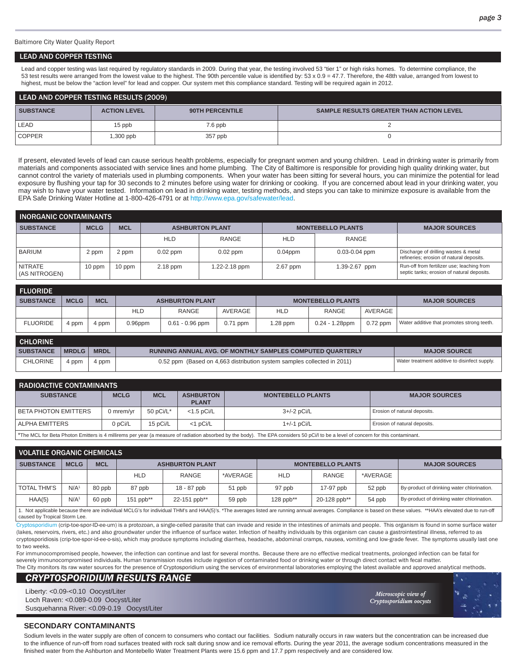Baltimore City Water Quality Report

#### LEAD AND COPPER TESTING

Lead and copper testing was last required by regulatory standards in 2009. During that year, the testing involved 53 "tier 1" or high risks homes. To determine compliance, the 53 test results were arranged from the lowest value to the highest. The 90th percentile value is identified by: 53 x 0.9 = 47.7. Therefore, the 48th value, arranged from lowest to highest, must be below the "action level" for lead and copper. Our system met this compliance standard. Testing will be required again in 2012.

| LEAD AND COPPER TESTING RESULTS (2009) |                     |                        |                                                 |  |  |  |  |  |
|----------------------------------------|---------------------|------------------------|-------------------------------------------------|--|--|--|--|--|
| <b>SUBSTANCE</b>                       | <b>ACTION LEVEL</b> | <b>90TH PERCENTILE</b> | <b>SAMPLE RESULTS GREATER THAN ACTION LEVEL</b> |  |  |  |  |  |
| LEAD                                   | 15 ppb              | $7.6$ ppb              |                                                 |  |  |  |  |  |
| <b>COPPER</b>                          | $,300$ ppb          | 357 ppb                |                                                 |  |  |  |  |  |

If present, elevated levels of lead can cause serious health problems, especially for pregnant women and young children. Lead in drinking water is primarily from materials and components associated with service lines and home plumbing. The City of Baltimore is responsible for providing high quality drinking water, but cannot control the variety of materials used in plumbing components. When your water has been sitting for several hours, you can minimize the potential for lead exposure by flushing your tap for 30 seconds to 2 minutes before using water for drinking or cooking. If you are concerned about lead in your drinking water, you may wish to have your water tested. Information on lead in drinking water, testing methods, and steps you can take to minimize exposure is available from the EPA Safe Drinking Water Hotline at 1-800-426-4791 or at http://www.epa.gov/safewater/lead.

| <b>INORGANIC CONTAMINANTS</b>   |             |            |            |                        |            |                          |                                                                                          |  |  |  |  |
|---------------------------------|-------------|------------|------------|------------------------|------------|--------------------------|------------------------------------------------------------------------------------------|--|--|--|--|
| <b>SUBSTANCE</b>                | <b>MCLG</b> | <b>MCL</b> |            | <b>ASHBURTON PLANT</b> |            | <b>MONTEBELLO PLANTS</b> | <b>MAJOR SOURCES</b>                                                                     |  |  |  |  |
|                                 |             |            | <b>HLD</b> | RANGE                  | <b>HLD</b> | RANGE                    |                                                                                          |  |  |  |  |
| <b>BARIUM</b>                   | 2 ppm       | 2 ppm      | $0.02$ ppm | $0.02$ ppm             | $0.04$ ppm | $0.03 - 0.04$ ppm        | Discharge of drilling wastes & metal<br>refineries; erosion of natural deposits.         |  |  |  |  |
| <b>NITRATE</b><br>(AS NITROGEN) | 10 ppm      | 10 ppm     | 2.18 ppm   | 1.22-2.18 ppm          | 2.67 ppm   | 1.39-2.67 ppm            | Run-off from fertilizer use; leaching from<br>septic tanks; erosion of natural deposits. |  |  |  |  |

| <b>FLUORIDE</b>  |              |             |            |                                                                         |            |                          |                   |            |                                               |
|------------------|--------------|-------------|------------|-------------------------------------------------------------------------|------------|--------------------------|-------------------|------------|-----------------------------------------------|
| <b>SUBSTANCE</b> | <b>MCLG</b>  | <b>MCL</b>  |            | <b>ASHBURTON PLANT</b>                                                  |            | <b>MONTEBELLO PLANTS</b> |                   |            | <b>MAJOR SOURCES</b>                          |
|                  |              |             | <b>HLD</b> | RANGE                                                                   | AVERAGE    | <b>HLD</b>               | RANGE             | AVERAGE    |                                               |
| <b>FLUORIDE</b>  | 4 ppm        | 4 ppm       | $0.96$ ppm | $0.61 - 0.96$ ppm                                                       | $0.71$ ppm | $1.28$ ppm               | $0.24 - 1.28$ ppm | $0.72$ ppm | Water additive that promotes strong teeth.    |
| <b>CHLORINE</b>  |              |             |            |                                                                         |            |                          |                   |            |                                               |
| <b>SUBSTANCE</b> | <b>MRDLG</b> | <b>MRDL</b> |            | <b>RUNNING ANNUAL AVG. OF MONTHLY SAMPLES COMPUTED QUARTERLY</b>        |            | <b>MAJOR SOURCE</b>      |                   |            |                                               |
| <b>CHLORINE</b>  | 4 ppm        | 4 ppm       |            | 0.52 ppm (Based on 4,663 distribution system samples collected in 2011) |            |                          |                   |            | Water treatment additive to disinfect supply. |

| <b>RADIOACTIVE CONTAMINANTS</b>                                                                                                                                                              |             |              |                                  |                          |                              |  |  |  |  |  |
|----------------------------------------------------------------------------------------------------------------------------------------------------------------------------------------------|-------------|--------------|----------------------------------|--------------------------|------------------------------|--|--|--|--|--|
| <b>SUBSTANCE</b>                                                                                                                                                                             | <b>MCLG</b> | <b>MCL</b>   | <b>ASHBURTON</b><br><b>PLANT</b> | <b>MONTEBELLO PLANTS</b> | <b>MAJOR SOURCES</b>         |  |  |  |  |  |
| <b>BETA PHOTON EMITTERS</b>                                                                                                                                                                  | 0 mrem/vr   | 50 $pCi/L^*$ | $<$ 1.5 pCi/L                    | $3+/-2$ pCi/L            | Erosion of natural deposits. |  |  |  |  |  |
| ALPHA EMITTERS                                                                                                                                                                               | 0 pCi/L     | 15 pCi/L     | $<$ 1 pCi/L                      | $1+/-1$ pCi/L            | Erosion of natural deposits. |  |  |  |  |  |
| <sup>*</sup> The MCL for Reta Photon Emitters is 4 millirems per vear (a measure of radiation absorbed by the body). The EPA considers 50 pCid to be a level of concern for this contaminant |             |              |                                  |                          |                              |  |  |  |  |  |

\*The MCL for Beta Photon Emitters is 4 millirems per year (a measure of radiation absorbed by the body). The EPA considers 50 pCi/l to be a level of concern for this contaminant.

| <b>VOLATILE ORGANIC CHEMICALS</b>                                                                                                                                                                               |                  |            |           |                        |          |            |                          |          |                                            |  |  |
|-----------------------------------------------------------------------------------------------------------------------------------------------------------------------------------------------------------------|------------------|------------|-----------|------------------------|----------|------------|--------------------------|----------|--------------------------------------------|--|--|
| <b>SUBSTANCE</b>                                                                                                                                                                                                | <b>MCLG</b>      | <b>MCL</b> |           | <b>ASHBURTON PLANT</b> |          |            | <b>MONTEBELLO PLANTS</b> |          | <b>MAJOR SOURCES</b>                       |  |  |
|                                                                                                                                                                                                                 |                  |            | HLD       | RANGE                  | *AVERAGE | <b>HLD</b> | RANGE                    | *AVERAGE |                                            |  |  |
| <b>TOTAL THM'S</b>                                                                                                                                                                                              | N/A <sup>1</sup> | 80 ppb     | 87 ppb    | 18 - 87 ppb            | 51 ppb   | 97 ppb     | 17-97 ppb                | 52 ppb   | By-product of drinking water chlorination. |  |  |
| HAA(5)                                                                                                                                                                                                          | N/A <sup>1</sup> | 60 ppb     | 151 ppb** | 22-151 ppb**           | 59 ppb   | 128 ppb**  | 20-128 ppb**             | 54 ppb   | By-product of drinking water chlorination. |  |  |
| I. Not applicable because there are individual MCLG's for individual THM's and HAA(5)'s. *The averages listed are running annual averages. Compliance is based on these values. **HAA's elevated due to run-off |                  |            |           |                        |          |            |                          |          |                                            |  |  |

caused by Tropical Storm Lee.

ryptosporidium (crip-toe-spor-ID-ee-um) is a protozoan, a single-celled parasite that can invade and reside in the intestines of animals and people. This organism is found in some surface water (lakes, reservoirs, rivers, etc.) and also groundwater under the influence of surface water. Infection of healthy individuals by this organism can cause a gastrointestinal illness, referred to as cryptosporidiosis (crip-toe-spor-id-ee-o-sis), which may produce symptoms including diarrhea, headache, abdominal cramps, nausea, vomiting and low-grade fever. The symptoms usually last one to two weeks.

For immunocompromised people, however, the infection can continue and last for several months. Because there are no effective medical treatments, prolonged infection can be fatal for severely immunocompromised individuals. Human transmission routes include ingestion of contaminated food or drinking water or through direct contact with fecal matter. The City monitors its raw water sources for the presence of Cryptosporidium using the services of environmental laboratories employing the latest available and approved analytical methods.

#### *CRYPTOSPORIDIUM RESULTS RANGE*

Liberty: <0.09-<0.10 Oocyst/Liter Loch Raven: <0.089-0.09 Oocyst/Liter Susquehanna River: <0.09-0.19 Oocyst/Liter

*Microscopic view of icroscopic Cryptosporidium oocysts ryptosporidium* 

#### **SECONDARY CONTAMINANTS**

Sodium levels in the water supply are often of concern to consumers who contact our facilities. Sodium naturally occurs in raw waters but the concentration can be increased due to the influence of run-off from road surfaces treated with rock salt during snow and ice removal efforts. During the year 2011, the average sodium concentrations measured in the finished water from the Ashburton and Montebello Water Treatment Plants were 15.6 ppm and 17.7 ppm respectively and are considered low.